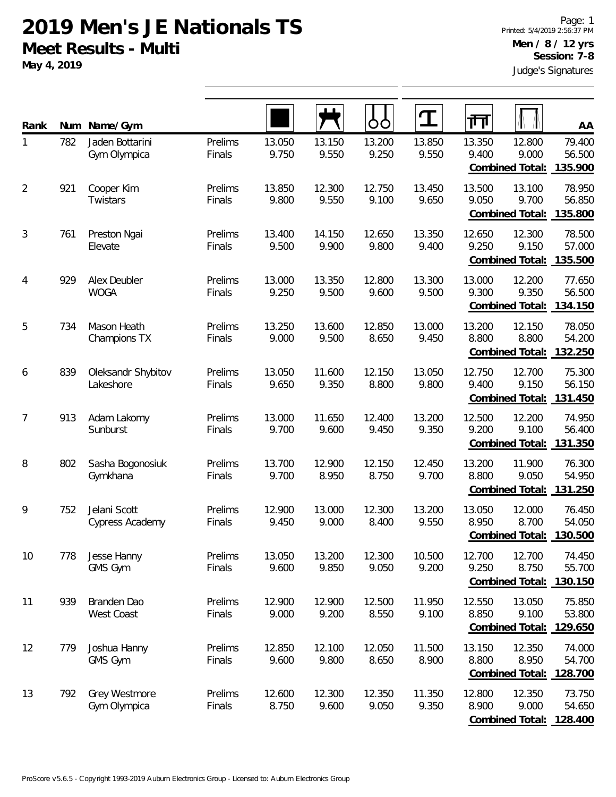**May 4, 2019**

| Rank           | Num | Name/Gym                        |                   |                 |                 | OO              | $\mathbf T$     | गा                                                            | AA                          |
|----------------|-----|---------------------------------|-------------------|-----------------|-----------------|-----------------|-----------------|---------------------------------------------------------------|-----------------------------|
| 1              | 782 | Jaden Bottarini<br>Gym Olympica | Prelims<br>Finals | 13.050<br>9.750 | 13.150<br>9.550 | 13.200<br>9.250 | 13.850<br>9.550 | 13.350<br>12.800<br>9.400<br>9.000<br>Combined Total:         | 79.400<br>56.500<br>135.900 |
| $\overline{2}$ | 921 | Cooper Kim<br>Twistars          | Prelims<br>Finals | 13.850<br>9.800 | 12.300<br>9.550 | 12.750<br>9.100 | 13.450<br>9.650 | 13.500<br>13.100<br>9.050<br>9.700<br>Combined Total:         | 78.950<br>56.850<br>135.800 |
| $\sqrt{3}$     | 761 | Preston Ngai<br>Elevate         | Prelims<br>Finals | 13.400<br>9.500 | 14.150<br>9.900 | 12.650<br>9.800 | 13.350<br>9.400 | 12.650<br>12.300<br>9.250<br>9.150<br><b>Combined Total:</b>  | 78.500<br>57.000<br>135.500 |
| 4              | 929 | Alex Deubler<br><b>WOGA</b>     | Prelims<br>Finals | 13.000<br>9.250 | 13.350<br>9.500 | 12.800<br>9.600 | 13.300<br>9.500 | 13.000<br>12.200<br>9.300<br>9.350<br><b>Combined Total:</b>  | 77.650<br>56.500<br>134.150 |
| 5              | 734 | Mason Heath<br>Champions TX     | Prelims<br>Finals | 13.250<br>9.000 | 13.600<br>9.500 | 12.850<br>8.650 | 13.000<br>9.450 | 13.200<br>12.150<br>8.800<br>8.800<br><b>Combined Total:</b>  | 78.050<br>54.200<br>132.250 |
| 6              | 839 | Oleksandr Shybitov<br>Lakeshore | Prelims<br>Finals | 13.050<br>9.650 | 11.600<br>9.350 | 12.150<br>8.800 | 13.050<br>9.800 | 12.750<br>12.700<br>9.400<br>9.150<br>Combined Total:         | 75.300<br>56.150<br>131.450 |
| 7              | 913 | Adam Lakomy<br>Sunburst         | Prelims<br>Finals | 13.000<br>9.700 | 11.650<br>9.600 | 12.400<br>9.450 | 13.200<br>9.350 | 12.500<br>12.200<br>9.200<br>9.100<br>Combined Total:         | 74.950<br>56.400<br>131.350 |
| 8              | 802 | Sasha Bogonosiuk<br>Gymkhana    | Prelims<br>Finals | 13.700<br>9.700 | 12.900<br>8.950 | 12.150<br>8.750 | 12.450<br>9.700 | 13.200<br>11.900<br>8.800<br>9.050<br>Combined Total:         | 76.300<br>54.950<br>131.250 |
| 9              | 752 | Jelani Scott<br>Cypress Academy | Prelims<br>Finals | 12.900<br>9.450 | 13.000<br>9.000 | 12.300<br>8.400 | 13.200<br>9.550 | 13.050<br>12.000<br>8.700<br>8.950<br><b>Combined Total:</b>  | 76.450<br>54.050<br>130.500 |
| 10             | 778 | Jesse Hanny<br>GMS Gym          | Prelims<br>Finals | 13.050<br>9.600 | 13.200<br>9.850 | 12.300<br>9.050 | 10.500<br>9.200 | 12.700<br>12.700<br>9.250<br>8.750<br>Combined Total:         | 74.450<br>55.700<br>130.150 |
| 11             | 939 | Branden Dao<br>West Coast       | Prelims<br>Finals | 12.900<br>9.000 | 12.900<br>9.200 | 12.500<br>8.550 | 11.950<br>9.100 | 12.550<br>13.050<br>8.850<br>9.100<br><b>Combined Total:</b>  | 75.850<br>53.800<br>129.650 |
| 12             | 779 | Joshua Hanny<br>GMS Gym         | Prelims<br>Finals | 12.850<br>9.600 | 12.100<br>9.800 | 12.050<br>8.650 | 11.500<br>8.900 | 13.150<br>12.350<br>8.800<br>8.950<br>Combined Total: 128.700 | 74.000<br>54.700            |
| 13             | 792 | Grey Westmore<br>Gym Olympica   | Prelims<br>Finals | 12.600<br>8.750 | 12.300<br>9.600 | 12.350<br>9.050 | 11.350<br>9.350 | 12.800<br>12.350<br>8.900<br>9.000<br><b>Combined Total:</b>  | 73.750<br>54.650<br>128.400 |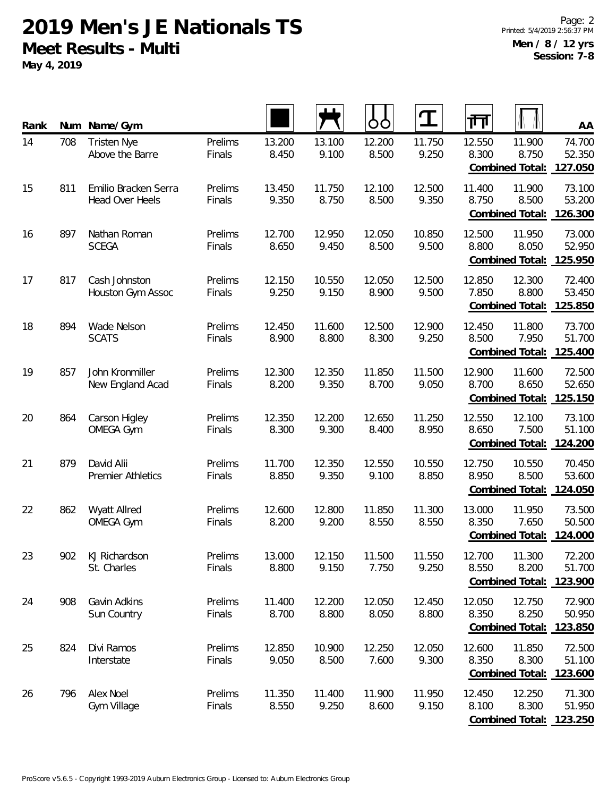**May 4, 2019**

| Rank | Num | Name/Gym                                       |                   |                 |                 | O               | T               | 帀                                         | AA                                                             |
|------|-----|------------------------------------------------|-------------------|-----------------|-----------------|-----------------|-----------------|-------------------------------------------|----------------------------------------------------------------|
| 14   | 708 | <b>Tristen Nye</b><br>Above the Barre          | Prelims<br>Finals | 13.200<br>8.450 | 13.100<br>9.100 | 12.200<br>8.500 | 11.750<br>9.250 | 12.550<br>8.300<br>Combined Total:        | 11.900<br>74.700<br>8.750<br>52.350<br>127.050                 |
| 15   | 811 | Emilio Bracken Serra<br><b>Head Over Heels</b> | Prelims<br>Finals | 13.450<br>9.350 | 11.750<br>8.750 | 12.100<br>8.500 | 12.500<br>9.350 | 11.400<br>8.750<br><b>Combined Total:</b> | 11.900<br>73.100<br>8.500<br>53.200<br>126.300                 |
| 16   | 897 | Nathan Roman<br><b>SCEGA</b>                   | Prelims<br>Finals | 12.700<br>8.650 | 12.950<br>9.450 | 12.050<br>8.500 | 10.850<br>9.500 | 12.500<br>8.800<br>Combined Total:        | 11.950<br>73.000<br>8.050<br>52.950<br>125.950                 |
| 17   | 817 | Cash Johnston<br>Houston Gym Assoc             | Prelims<br>Finals | 12.150<br>9.250 | 10.550<br>9.150 | 12.050<br>8.900 | 12.500<br>9.500 | 12.850<br>7.850<br>Combined Total:        | 12.300<br>72.400<br>8.800<br>53.450<br>125.850                 |
| 18   | 894 | Wade Nelson<br><b>SCATS</b>                    | Prelims<br>Finals | 12.450<br>8.900 | 11.600<br>8.800 | 12.500<br>8.300 | 12.900<br>9.250 | 12.450<br>8.500<br><b>Combined Total:</b> | 11.800<br>73.700<br>7.950<br>51.700<br>125.400                 |
| 19   | 857 | John Kronmiller<br>New England Acad            | Prelims<br>Finals | 12.300<br>8.200 | 12.350<br>9.350 | 11.850<br>8.700 | 11.500<br>9.050 | 12.900<br>8.700<br>Combined Total:        | 11.600<br>72.500<br>52.650<br>8.650<br>125.150                 |
| 20   | 864 | Carson Higley<br><b>OMEGA Gym</b>              | Prelims<br>Finals | 12.350<br>8.300 | 12.200<br>9.300 | 12.650<br>8.400 | 11.250<br>8.950 | 12.550<br>8.650<br>Combined Total:        | 12.100<br>73.100<br>7.500<br>51.100<br>124.200                 |
| 21   | 879 | David Alii<br><b>Premier Athletics</b>         | Prelims<br>Finals | 11.700<br>8.850 | 12.350<br>9.350 | 12.550<br>9.100 | 10.550<br>8.850 | 12.750<br>8.950<br>Combined Total:        | 10.550<br>70.450<br>8.500<br>53.600<br>124.050                 |
| 22   | 862 | Wyatt Allred<br><b>OMEGA Gym</b>               | Prelims<br>Finals | 12.600<br>8.200 | 12.800<br>9.200 | 11.850<br>8.550 | 11.300<br>8.550 | 13.000<br>8.350<br>Combined Total:        | 11.950<br>73.500<br>7.650<br>50.500<br>124.000                 |
| 23   | 902 | KJ Richardson<br>St. Charles                   | Prelims<br>Finals | 13.000<br>8.800 | 12.150<br>9.150 | 11.500<br>7.750 | 11.550<br>9.250 | 12.700<br>8.550                           | 11.300<br>72.200<br>8.200<br>51.700<br>Combined Total: 123.900 |
| 24   | 908 | Gavin Adkins<br>Sun Country                    | Prelims<br>Finals | 11.400<br>8.700 | 12.200<br>8.800 | 12.050<br>8.050 | 12.450<br>8.800 | 12.050<br>8.350<br>Combined Total:        | 72.900<br>12.750<br>50.950<br>8.250<br>123.850                 |
| 25   | 824 | Divi Ramos<br>Interstate                       | Prelims<br>Finals | 12.850<br>9.050 | 10.900<br>8.500 | 12.250<br>7.600 | 12.050<br>9.300 | 12.600<br>8.350<br><b>Combined Total:</b> | 11.850<br>72.500<br>8.300<br>51.100<br>123.600                 |
| 26   | 796 | Alex Noel<br>Gym Village                       | Prelims<br>Finals | 11.350<br>8.550 | 11.400<br>9.250 | 11.900<br>8.600 | 11.950<br>9.150 | 12.450<br>8.100<br>Combined Total:        | 12.250<br>71.300<br>8.300<br>51.950<br>123.250                 |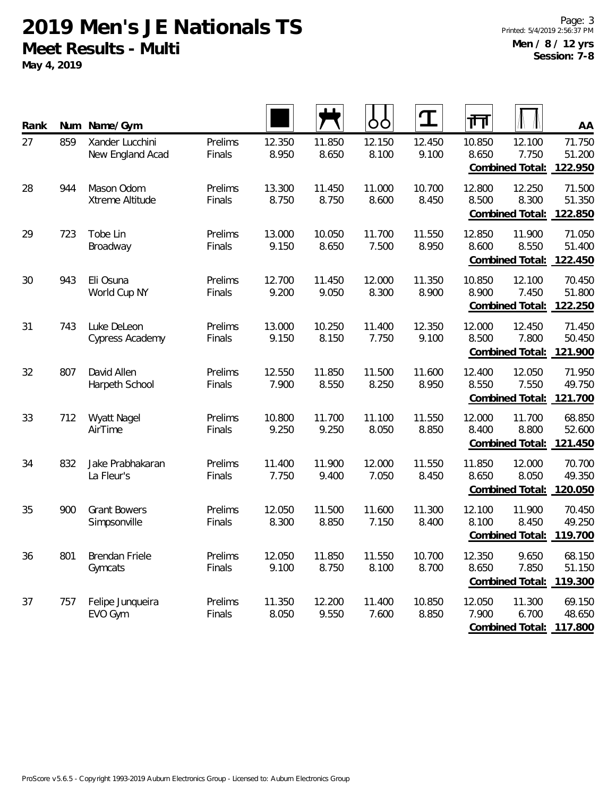**May 4, 2019**

| Rank | Num | Name/Gym                            |                   |                 |                 | O               | $\mathbf T$     | 帀               |                                    | AA                          |
|------|-----|-------------------------------------|-------------------|-----------------|-----------------|-----------------|-----------------|-----------------|------------------------------------|-----------------------------|
| 27   | 859 | Xander Lucchini<br>New England Acad | Prelims<br>Finals | 12.350<br>8.950 | 11.850<br>8.650 | 12.150<br>8.100 | 12.450<br>9.100 | 10.850<br>8.650 | 12.100<br>7.750<br>Combined Total: | 71.750<br>51.200<br>122.950 |
| 28   | 944 | Mason Odom<br>Xtreme Altitude       | Prelims<br>Finals | 13.300<br>8.750 | 11.450<br>8.750 | 11.000<br>8.600 | 10.700<br>8.450 | 12.800<br>8.500 | 12.250<br>8.300<br>Combined Total: | 71.500<br>51.350<br>122.850 |
| 29   | 723 | Tobe Lin<br>Broadway                | Prelims<br>Finals | 13.000<br>9.150 | 10.050<br>8.650 | 11.700<br>7.500 | 11.550<br>8.950 | 12.850<br>8.600 | 11.900<br>8.550<br>Combined Total: | 71.050<br>51.400<br>122.450 |
| 30   | 943 | Eli Osuna<br>World Cup NY           | Prelims<br>Finals | 12.700<br>9.200 | 11.450<br>9.050 | 12.000<br>8.300 | 11.350<br>8.900 | 10.850<br>8.900 | 12.100<br>7.450<br>Combined Total: | 70.450<br>51.800<br>122.250 |
| 31   | 743 | Luke DeLeon<br>Cypress Academy      | Prelims<br>Finals | 13.000<br>9.150 | 10.250<br>8.150 | 11.400<br>7.750 | 12.350<br>9.100 | 12.000<br>8.500 | 12.450<br>7.800<br>Combined Total: | 71.450<br>50.450<br>121.900 |
| 32   | 807 | David Allen<br>Harpeth School       | Prelims<br>Finals | 12.550<br>7.900 | 11.850<br>8.550 | 11.500<br>8.250 | 11.600<br>8.950 | 12.400<br>8.550 | 12.050<br>7.550<br>Combined Total: | 71.950<br>49.750<br>121.700 |
| 33   | 712 | <b>Wyatt Nagel</b><br>AirTime       | Prelims<br>Finals | 10.800<br>9.250 | 11.700<br>9.250 | 11.100<br>8.050 | 11.550<br>8.850 | 12.000<br>8.400 | 11.700<br>8.800<br>Combined Total: | 68.850<br>52.600<br>121.450 |
| 34   | 832 | Jake Prabhakaran<br>La Fleur's      | Prelims<br>Finals | 11.400<br>7.750 | 11.900<br>9.400 | 12.000<br>7.050 | 11.550<br>8.450 | 11.850<br>8.650 | 12.000<br>8.050<br>Combined Total: | 70.700<br>49.350<br>120.050 |
| 35   | 900 | <b>Grant Bowers</b><br>Simpsonville | Prelims<br>Finals | 12.050<br>8.300 | 11.500<br>8.850 | 11.600<br>7.150 | 11.300<br>8.400 | 12.100<br>8.100 | 11.900<br>8.450<br>Combined Total: | 70.450<br>49.250<br>119.700 |
| 36   | 801 | Brendan Friele<br>Gymcats           | Prelims<br>Finals | 12.050<br>9.100 | 11.850<br>8.750 | 11.550<br>8.100 | 10.700<br>8.700 | 12.350<br>8.650 | 9.650<br>7.850<br>Combined Total:  | 68.150<br>51.150<br>119.300 |
| 37   | 757 | Felipe Junqueira<br>EVO Gym         | Prelims<br>Finals | 11.350<br>8.050 | 12.200<br>9.550 | 11.400<br>7.600 | 10.850<br>8.850 | 12.050<br>7.900 | 11.300<br>6.700<br>Combined Total: | 69.150<br>48.650<br>117.800 |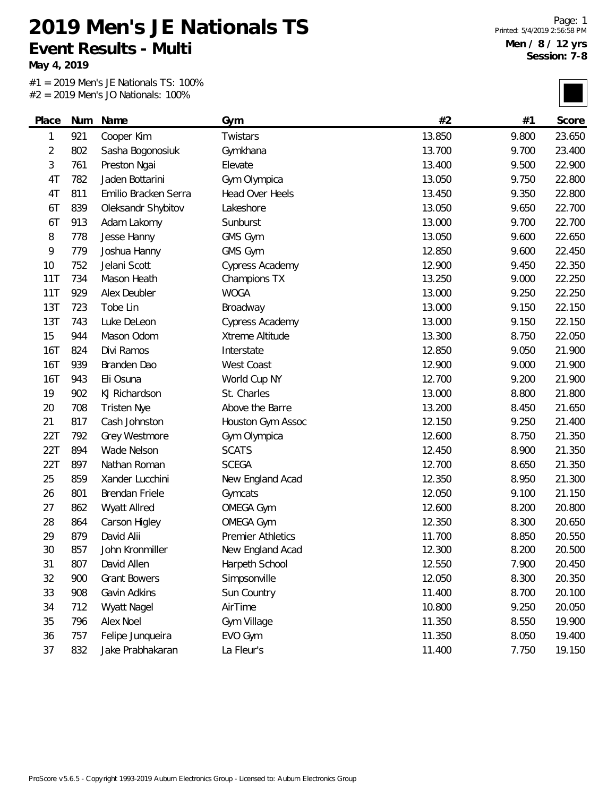**Event Results - Multi**

**May 4, 2019**

 $\overline{\phantom{0}}$ 

#1 = 2019 Men's JE Nationals TS: 100% #2 = 2019 Men's JO Nationals: 100%

**2019 Men's JE Nationals TS**

| Place      | Num | Name                 | Gym                      | #2     | #1    | Score  |
|------------|-----|----------------------|--------------------------|--------|-------|--------|
| 1          | 921 | Cooper Kim           | Twistars                 | 13.850 | 9.800 | 23.650 |
| 2          | 802 | Sasha Bogonosiuk     | Gymkhana                 | 13.700 | 9.700 | 23.400 |
| 3          | 761 | Preston Ngai         | Elevate                  | 13.400 | 9.500 | 22.900 |
| 4T         | 782 | Jaden Bottarini      | Gym Olympica             | 13.050 | 9.750 | 22.800 |
| 4T         | 811 | Emilio Bracken Serra | Head Over Heels          | 13.450 | 9.350 | 22.800 |
| 6T         | 839 | Oleksandr Shybitov   | Lakeshore                | 13.050 | 9.650 | 22.700 |
| 6T         | 913 | Adam Lakomy          | Sunburst                 | 13.000 | 9.700 | 22.700 |
| 8          | 778 | Jesse Hanny          | GMS Gym                  | 13.050 | 9.600 | 22.650 |
| 9          | 779 | Joshua Hanny         | GMS Gym                  | 12.850 | 9.600 | 22.450 |
| 10         | 752 | Jelani Scott         | Cypress Academy          | 12.900 | 9.450 | 22.350 |
| 11T        | 734 | Mason Heath          | Champions TX             | 13.250 | 9.000 | 22.250 |
| 11T        | 929 | Alex Deubler         | <b>WOGA</b>              | 13.000 | 9.250 | 22.250 |
| 13T        | 723 | Tobe Lin             | Broadway                 | 13.000 | 9.150 | 22.150 |
| 13T        | 743 | Luke DeLeon          | Cypress Academy          | 13.000 | 9.150 | 22.150 |
| 15         | 944 | Mason Odom           | Xtreme Altitude          | 13.300 | 8.750 | 22.050 |
| <b>16T</b> | 824 | Divi Ramos           | Interstate               | 12.850 | 9.050 | 21.900 |
| <b>16T</b> | 939 | Branden Dao          | West Coast               | 12.900 | 9.000 | 21.900 |
| <b>16T</b> | 943 | Eli Osuna            | World Cup NY             | 12.700 | 9.200 | 21.900 |
| 19         | 902 | KJ Richardson        | St. Charles              | 13.000 | 8.800 | 21.800 |
| 20         | 708 | <b>Tristen Nye</b>   | Above the Barre          | 13.200 | 8.450 | 21.650 |
| 21         | 817 | Cash Johnston        | Houston Gym Assoc        | 12.150 | 9.250 | 21.400 |
| 22T        | 792 | Grey Westmore        | Gym Olympica             | 12.600 | 8.750 | 21.350 |
| 22T        | 894 | Wade Nelson          | <b>SCATS</b>             | 12.450 | 8.900 | 21.350 |
| 22T        | 897 | Nathan Roman         | <b>SCEGA</b>             | 12.700 | 8.650 | 21.350 |
| 25         | 859 | Xander Lucchini      | New England Acad         | 12.350 | 8.950 | 21.300 |
| 26         | 801 | Brendan Friele       | Gymcats                  | 12.050 | 9.100 | 21.150 |
| 27         | 862 | Wyatt Allred         | <b>OMEGA Gym</b>         | 12.600 | 8.200 | 20.800 |
| 28         | 864 | Carson Higley        | <b>OMEGA Gym</b>         | 12.350 | 8.300 | 20.650 |
| 29         | 879 | David Alii           | <b>Premier Athletics</b> | 11.700 | 8.850 | 20.550 |
| 30         | 857 | John Kronmiller      | New England Acad         | 12.300 | 8.200 | 20.500 |
| 31         | 807 | David Allen          | Harpeth School           | 12.550 | 7.900 | 20.450 |
| 32         | 900 | <b>Grant Bowers</b>  | Simpsonville             | 12.050 | 8.300 | 20.350 |
| 33         | 908 | Gavin Adkins         | Sun Country              | 11.400 | 8.700 | 20.100 |
| 34         | 712 | Wyatt Nagel          | AirTime                  | 10.800 | 9.250 | 20.050 |
| 35         | 796 | Alex Noel            | Gym Village              | 11.350 | 8.550 | 19.900 |
| 36         | 757 | Felipe Junqueira     | EVO Gym                  | 11.350 | 8.050 | 19.400 |
| 37         | 832 | Jake Prabhakaran     | La Fleur's               | 11.400 | 7.750 | 19.150 |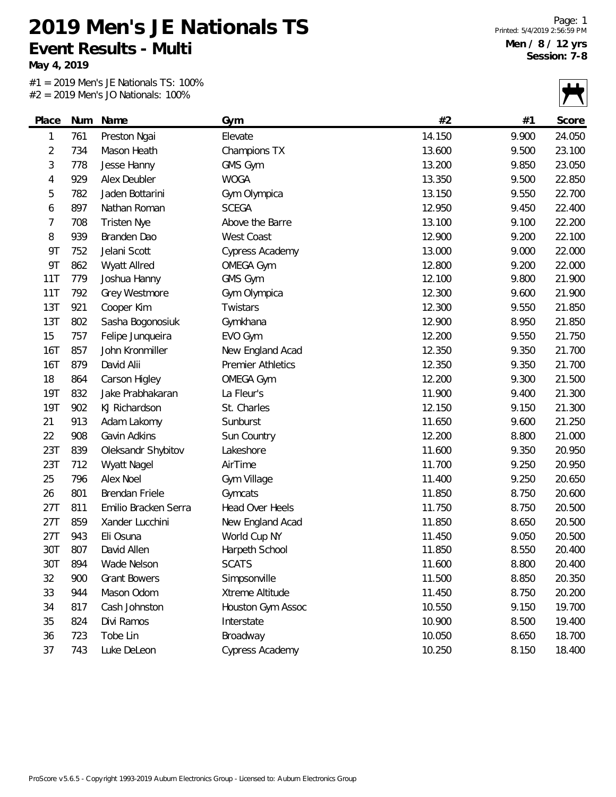**May 4, 2019**

 $#1 = 2019$  Men's JE Nationals TS: 100%<br> $#2 = 2019$  Men's JO Nationals: 100%  $= 2019$  Men's JO Natio

|                |     | $2 = 2019$ Men's JO Nationals: $100\%$ |                          |        |       |        |
|----------------|-----|----------------------------------------|--------------------------|--------|-------|--------|
| Place          | Num | Name                                   | Gym                      | #2     | #1    | Score  |
| 1              | 761 | Preston Ngai                           | Elevate                  | 14.150 | 9.900 | 24.050 |
| $\overline{2}$ | 734 | Mason Heath                            | Champions TX             | 13.600 | 9.500 | 23.100 |
| 3              | 778 | Jesse Hanny                            | GMS Gym                  | 13.200 | 9.850 | 23.050 |
| 4              | 929 | Alex Deubler                           | <b>WOGA</b>              | 13.350 | 9.500 | 22.850 |
| 5              | 782 | Jaden Bottarini                        | Gym Olympica             | 13.150 | 9.550 | 22.700 |
| 6              | 897 | Nathan Roman                           | <b>SCEGA</b>             | 12.950 | 9.450 | 22.400 |
| 7              | 708 | <b>Tristen Nye</b>                     | Above the Barre          | 13.100 | 9.100 | 22.200 |
| 8              | 939 | Branden Dao                            | West Coast               | 12.900 | 9.200 | 22.100 |
| <b>9T</b>      | 752 | Jelani Scott                           | Cypress Academy          | 13.000 | 9.000 | 22.000 |
| <b>9T</b>      | 862 | Wyatt Allred                           | <b>OMEGA Gym</b>         | 12.800 | 9.200 | 22.000 |
| 11T            | 779 | Joshua Hanny                           | GMS Gym                  | 12.100 | 9.800 | 21.900 |
| 11T            | 792 | Grey Westmore                          | Gym Olympica             | 12.300 | 9.600 | 21.900 |
| 13T            | 921 | Cooper Kim                             | Twistars                 | 12.300 | 9.550 | 21.850 |
| 13T            | 802 | Sasha Bogonosiuk                       | Gymkhana                 | 12.900 | 8.950 | 21.850 |
| 15             | 757 | Felipe Junqueira                       | EVO Gym                  | 12.200 | 9.550 | 21.750 |
| <b>16T</b>     | 857 | John Kronmiller                        | New England Acad         | 12.350 | 9.350 | 21.700 |
| 16T            | 879 | David Alii                             | <b>Premier Athletics</b> | 12.350 | 9.350 | 21.700 |
| 18             | 864 | Carson Higley                          | <b>OMEGA Gym</b>         | 12.200 | 9.300 | 21.500 |
| <b>19T</b>     | 832 | Jake Prabhakaran                       | La Fleur's               | 11.900 | 9.400 | 21.300 |
| 19T            | 902 | KJ Richardson                          | St. Charles              | 12.150 | 9.150 | 21.300 |
| 21             | 913 | Adam Lakomy                            | Sunburst                 | 11.650 | 9.600 | 21.250 |
| 22             | 908 | Gavin Adkins                           | Sun Country              | 12.200 | 8.800 | 21.000 |
| 23T            | 839 | Oleksandr Shybitov                     | Lakeshore                | 11.600 | 9.350 | 20.950 |
| 23T            | 712 | <b>Wyatt Nagel</b>                     | AirTime                  | 11.700 | 9.250 | 20.950 |
| 25             | 796 | Alex Noel                              | Gym Village              | 11.400 | 9.250 | 20.650 |
| 26             | 801 | Brendan Friele                         | Gymcats                  | 11.850 | 8.750 | 20.600 |
| 27T            | 811 | Emilio Bracken Serra                   | Head Over Heels          | 11.750 | 8.750 | 20.500 |
| 27T            | 859 | Xander Lucchini                        | New England Acad         | 11.850 | 8.650 | 20.500 |
| 27T            | 943 | Eli Osuna                              | World Cup NY             | 11.450 | 9.050 | 20.500 |
| 30T            | 807 | David Allen                            | Harpeth School           | 11.850 | 8.550 | 20.400 |
| 30T            | 894 | Wade Nelson                            | <b>SCATS</b>             | 11.600 | 8.800 | 20.400 |
| 32             | 900 | <b>Grant Bowers</b>                    | Simpsonville             | 11.500 | 8.850 | 20.350 |
| 33             | 944 | Mason Odom                             | Xtreme Altitude          | 11.450 | 8.750 | 20.200 |
| 34             | 817 | Cash Johnston                          | Houston Gym Assoc        | 10.550 | 9.150 | 19.700 |
| 35             | 824 | Divi Ramos                             | Interstate               | 10.900 | 8.500 | 19.400 |
| 36             | 723 | Tobe Lin                               | Broadway                 | 10.050 | 8.650 | 18.700 |
| 37             | 743 | Luke DeLeon                            | Cypress Academy          | 10.250 | 8.150 | 18.400 |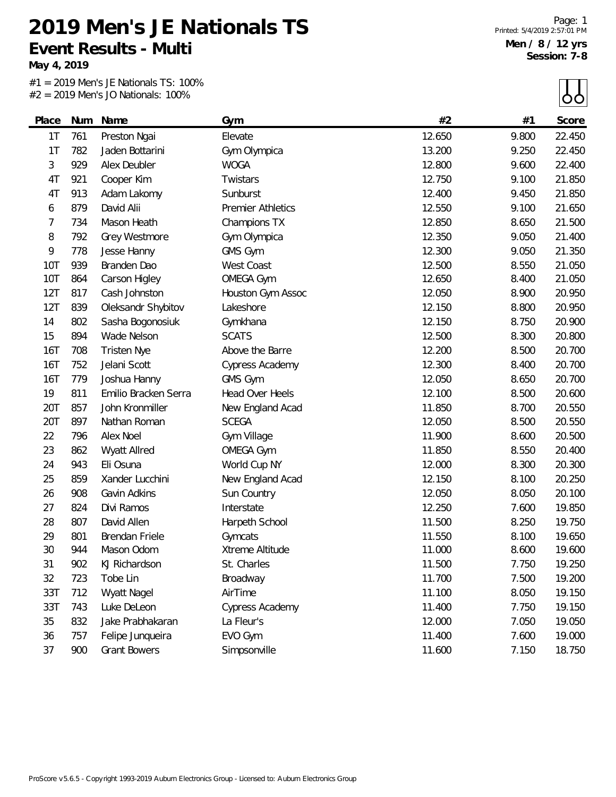**May 4, 2019**

L.

#1 = 2019 Men's JE Nationals TS: 100%  $#2 = 2019$  Men's JO Nationals: 100%

 $\Box$ 

|            |     | $Z = Z013$ ivicits JO inductions. 10070 |                          |        |       | ပပ     |
|------------|-----|-----------------------------------------|--------------------------|--------|-------|--------|
| Place      | Num | Name                                    | Gym                      | #2     | #1    | Score  |
| 1T         | 761 | Preston Ngai                            | Elevate                  | 12.650 | 9.800 | 22.450 |
| 1T         | 782 | Jaden Bottarini                         | Gym Olympica             | 13.200 | 9.250 | 22.450 |
| 3          | 929 | Alex Deubler                            | <b>WOGA</b>              | 12.800 | 9.600 | 22.400 |
| 4T         | 921 | Cooper Kim                              | Twistars                 | 12.750 | 9.100 | 21.850 |
| 4T         | 913 | Adam Lakomy                             | Sunburst                 | 12.400 | 9.450 | 21.850 |
| 6          | 879 | David Alii                              | <b>Premier Athletics</b> | 12.550 | 9.100 | 21.650 |
| 7          | 734 | Mason Heath                             | Champions TX             | 12.850 | 8.650 | 21.500 |
| 8          | 792 | Grey Westmore                           | Gym Olympica             | 12.350 | 9.050 | 21.400 |
| 9          | 778 | Jesse Hanny                             | GMS Gym                  | 12.300 | 9.050 | 21.350 |
| <b>10T</b> | 939 | Branden Dao                             | West Coast               | 12.500 | 8.550 | 21.050 |
| <b>10T</b> | 864 | Carson Higley                           | <b>OMEGA Gym</b>         | 12.650 | 8.400 | 21.050 |
| 12T        | 817 | Cash Johnston                           | Houston Gym Assoc        | 12.050 | 8.900 | 20.950 |
| 12T        | 839 | Oleksandr Shybitov                      | Lakeshore                | 12.150 | 8.800 | 20.950 |
| 14         | 802 | Sasha Bogonosiuk                        | Gymkhana                 | 12.150 | 8.750 | 20.900 |
| 15         | 894 | Wade Nelson                             | <b>SCATS</b>             | 12.500 | 8.300 | 20.800 |
| 16T        | 708 | <b>Tristen Nye</b>                      | Above the Barre          | 12.200 | 8.500 | 20.700 |
| <b>16T</b> | 752 | Jelani Scott                            | Cypress Academy          | 12.300 | 8.400 | 20.700 |
| <b>16T</b> | 779 | Joshua Hanny                            | GMS Gym                  | 12.050 | 8.650 | 20.700 |
| 19         | 811 | Emilio Bracken Serra                    | Head Over Heels          | 12.100 | 8.500 | 20.600 |
| 20T        | 857 | John Kronmiller                         | New England Acad         | 11.850 | 8.700 | 20.550 |
| 20T        | 897 | Nathan Roman                            | <b>SCEGA</b>             | 12.050 | 8.500 | 20.550 |
| 22         | 796 | Alex Noel                               | Gym Village              | 11.900 | 8.600 | 20.500 |
| 23         | 862 | Wyatt Allred                            | <b>OMEGA Gym</b>         | 11.850 | 8.550 | 20.400 |
| 24         | 943 | Eli Osuna                               | World Cup NY             | 12.000 | 8.300 | 20.300 |
| 25         | 859 | Xander Lucchini                         | New England Acad         | 12.150 | 8.100 | 20.250 |
| 26         | 908 | Gavin Adkins                            | Sun Country              | 12.050 | 8.050 | 20.100 |
| 27         | 824 | Divi Ramos                              | Interstate               | 12.250 | 7.600 | 19.850 |
| 28         | 807 | David Allen                             | Harpeth School           | 11.500 | 8.250 | 19.750 |
| 29         | 801 | Brendan Friele                          | Gymcats                  | 11.550 | 8.100 | 19.650 |
| 30         | 944 | Mason Odom                              | Xtreme Altitude          | 11.000 | 8.600 | 19.600 |
| 31         | 902 | KJ Richardson                           | St. Charles              | 11.500 | 7.750 | 19.250 |
| 32         | 723 | Tobe Lin                                | Broadway                 | 11.700 | 7.500 | 19.200 |
| 33T        | 712 | Wyatt Nagel                             | AirTime                  | 11.100 | 8.050 | 19.150 |
| 33T        | 743 | Luke DeLeon                             | Cypress Academy          | 11.400 | 7.750 | 19.150 |
| 35         | 832 | Jake Prabhakaran                        | La Fleur's               | 12.000 | 7.050 | 19.050 |
| 36         | 757 | Felipe Junqueira                        | EVO Gym                  | 11.400 | 7.600 | 19.000 |
| 37         | 900 | <b>Grant Bowers</b>                     | Simpsonville             | 11.600 | 7.150 | 18.750 |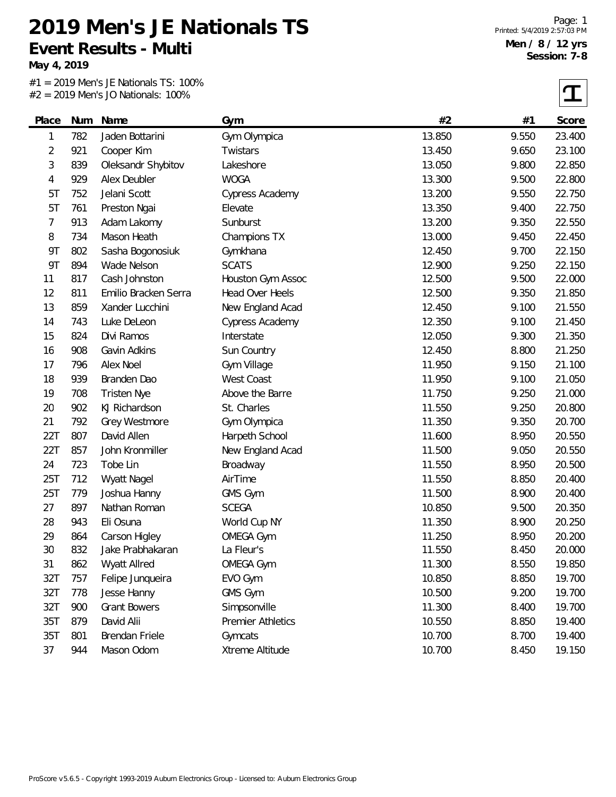**Event Results - Multi**

**May 4, 2019**

#1 = 2019 Men's JE Nationals TS: 100% #2 = 2019 Men's JO Nationals: 100%

**2019 Men's JE Nationals TS**

 $\tau$ 

| Place          | Num | Name                 | Gym               | #2     | #1    | Score  |
|----------------|-----|----------------------|-------------------|--------|-------|--------|
| 1              | 782 | Jaden Bottarini      | Gym Olympica      | 13.850 | 9.550 | 23.400 |
| $\overline{2}$ | 921 | Cooper Kim           | Twistars          | 13.450 | 9.650 | 23.100 |
| 3              | 839 | Oleksandr Shybitov   | Lakeshore         | 13.050 | 9.800 | 22.850 |
| 4              | 929 | Alex Deubler         | <b>WOGA</b>       | 13.300 | 9.500 | 22.800 |
| 5T             | 752 | Jelani Scott         | Cypress Academy   | 13.200 | 9.550 | 22.750 |
| 5T             | 761 | Preston Ngai         | Elevate           | 13.350 | 9.400 | 22.750 |
| 7              | 913 | Adam Lakomy          | Sunburst          | 13.200 | 9.350 | 22.550 |
| 8              | 734 | Mason Heath          | Champions TX      | 13.000 | 9.450 | 22.450 |
| <b>9T</b>      | 802 | Sasha Bogonosiuk     | Gymkhana          | 12.450 | 9.700 | 22.150 |
| <b>9T</b>      | 894 | Wade Nelson          | <b>SCATS</b>      | 12.900 | 9.250 | 22.150 |
| 11             | 817 | Cash Johnston        | Houston Gym Assoc | 12.500 | 9.500 | 22.000 |
| 12             | 811 | Emilio Bracken Serra | Head Over Heels   | 12.500 | 9.350 | 21.850 |
| 13             | 859 | Xander Lucchini      | New England Acad  | 12.450 | 9.100 | 21.550 |
| 14             | 743 | Luke DeLeon          | Cypress Academy   | 12.350 | 9.100 | 21.450 |
| 15             | 824 | Divi Ramos           | Interstate        | 12.050 | 9.300 | 21.350 |
| 16             | 908 | Gavin Adkins         | Sun Country       | 12.450 | 8.800 | 21.250 |
| 17             | 796 | Alex Noel            | Gym Village       | 11.950 | 9.150 | 21.100 |
| 18             | 939 | Branden Dao          | <b>West Coast</b> | 11.950 | 9.100 | 21.050 |
| 19             | 708 | <b>Tristen Nye</b>   | Above the Barre   | 11.750 | 9.250 | 21.000 |
| 20             | 902 | KJ Richardson        | St. Charles       | 11.550 | 9.250 | 20.800 |
| 21             | 792 | Grey Westmore        | Gym Olympica      | 11.350 | 9.350 | 20.700 |
| 22T            | 807 | David Allen          | Harpeth School    | 11.600 | 8.950 | 20.550 |
| 22T            | 857 | John Kronmiller      | New England Acad  | 11.500 | 9.050 | 20.550 |
| 24             | 723 | Tobe Lin             | Broadway          | 11.550 | 8.950 | 20.500 |
| 25T            | 712 | Wyatt Nagel          | AirTime           | 11.550 | 8.850 | 20.400 |
| 25T            | 779 | Joshua Hanny         | GMS Gym           | 11.500 | 8.900 | 20.400 |
| 27             | 897 | Nathan Roman         | <b>SCEGA</b>      | 10.850 | 9.500 | 20.350 |
| 28             | 943 | Eli Osuna            | World Cup NY      | 11.350 | 8.900 | 20.250 |
| 29             | 864 | Carson Higley        | <b>OMEGA Gym</b>  | 11.250 | 8.950 | 20.200 |
| 30             | 832 | Jake Prabhakaran     | La Fleur's        | 11.550 | 8.450 | 20.000 |
| 31             | 862 | Wyatt Allred         | <b>OMEGA Gym</b>  | 11.300 | 8.550 | 19.850 |
| 32T            | 757 | Felipe Junqueira     | EVO Gym           | 10.850 | 8.850 | 19.700 |
| 32T            | 778 | Jesse Hanny          | GMS Gym           | 10.500 | 9.200 | 19.700 |
| 32T            | 900 | <b>Grant Bowers</b>  | Simpsonville      | 11.300 | 8.400 | 19.700 |
| 35T            | 879 | David Alii           | Premier Athletics | 10.550 | 8.850 | 19.400 |
| 35T            | 801 | Brendan Friele       | Gymcats           | 10.700 | 8.700 | 19.400 |
| 37             | 944 | Mason Odom           | Xtreme Altitude   | 10.700 | 8.450 | 19.150 |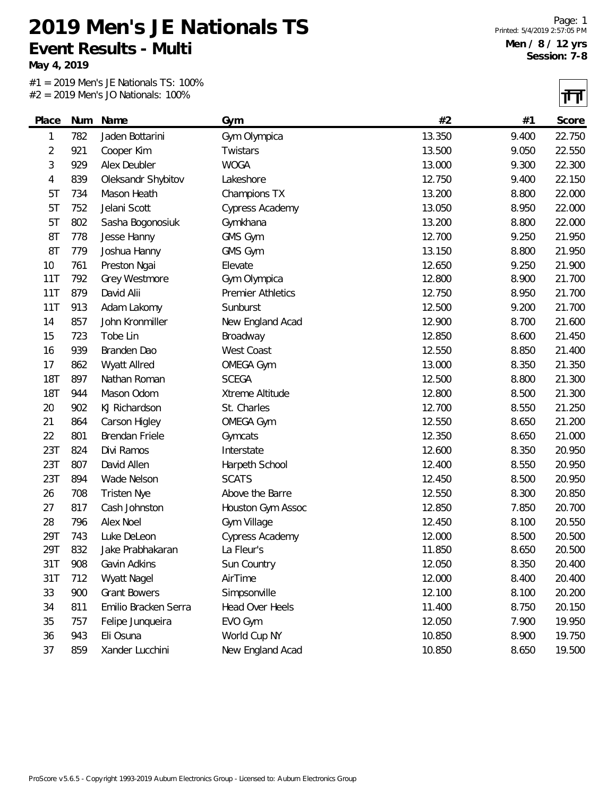**May 4, 2019**

#1 = 2019 Men's JE Nationals TS: 100% #2 = 2019 Men's JO Nationals: 100%

 $\overline{\mathbf{H}}$ 

|            |     |                       |                          |        |       | 11 H H |
|------------|-----|-----------------------|--------------------------|--------|-------|--------|
| Place      | Num | Name                  | Gym                      | #2     | #1    | Score  |
| 1          | 782 | Jaden Bottarini       | Gym Olympica             | 13.350 | 9.400 | 22.750 |
| 2          | 921 | Cooper Kim            | Twistars                 | 13.500 | 9.050 | 22.550 |
| 3          | 929 | Alex Deubler          | <b>WOGA</b>              | 13.000 | 9.300 | 22.300 |
| 4          | 839 | Oleksandr Shybitov    | Lakeshore                | 12.750 | 9.400 | 22.150 |
| 5T         | 734 | Mason Heath           | Champions TX             | 13.200 | 8.800 | 22.000 |
| 5T         | 752 | Jelani Scott          | Cypress Academy          | 13.050 | 8.950 | 22.000 |
| 5T         | 802 | Sasha Bogonosiuk      | Gymkhana                 | 13.200 | 8.800 | 22.000 |
| 8T         | 778 | Jesse Hanny           | GMS Gym                  | 12.700 | 9.250 | 21.950 |
| 8T         | 779 | Joshua Hanny          | GMS Gym                  | 13.150 | 8.800 | 21.950 |
| 10         | 761 | Preston Ngai          | Elevate                  | 12.650 | 9.250 | 21.900 |
| 11T        | 792 | Grey Westmore         | Gym Olympica             | 12.800 | 8.900 | 21.700 |
| 11T        | 879 | David Alii            | <b>Premier Athletics</b> | 12.750 | 8.950 | 21.700 |
| 11T        | 913 | Adam Lakomy           | Sunburst                 | 12.500 | 9.200 | 21.700 |
| 14         | 857 | John Kronmiller       | New England Acad         | 12.900 | 8.700 | 21.600 |
| 15         | 723 | Tobe Lin              | Broadway                 | 12.850 | 8.600 | 21.450 |
| 16         | 939 | Branden Dao           | West Coast               | 12.550 | 8.850 | 21.400 |
| 17         | 862 | Wyatt Allred          | <b>OMEGA Gym</b>         | 13.000 | 8.350 | 21.350 |
| <b>18T</b> | 897 | Nathan Roman          | <b>SCEGA</b>             | 12.500 | 8.800 | 21.300 |
| <b>18T</b> | 944 | Mason Odom            | Xtreme Altitude          | 12.800 | 8.500 | 21.300 |
| 20         | 902 | KJ Richardson         | St. Charles              | 12.700 | 8.550 | 21.250 |
| 21         | 864 | Carson Higley         | <b>OMEGA Gym</b>         | 12.550 | 8.650 | 21.200 |
| 22         | 801 | <b>Brendan Friele</b> | Gymcats                  | 12.350 | 8.650 | 21.000 |
| 23T        | 824 | Divi Ramos            | Interstate               | 12.600 | 8.350 | 20.950 |
| 23T        | 807 | David Allen           | Harpeth School           | 12.400 | 8.550 | 20.950 |
| 23T        | 894 | Wade Nelson           | <b>SCATS</b>             | 12.450 | 8.500 | 20.950 |
| 26         | 708 | <b>Tristen Nye</b>    | Above the Barre          | 12.550 | 8.300 | 20.850 |
| 27         | 817 | Cash Johnston         | Houston Gym Assoc        | 12.850 | 7.850 | 20.700 |
| 28         | 796 | Alex Noel             | Gym Village              | 12.450 | 8.100 | 20.550 |
| 29T        | 743 | Luke DeLeon           | Cypress Academy          | 12.000 | 8.500 | 20.500 |
| 29T        | 832 | Jake Prabhakaran      | La Fleur's               | 11.850 | 8.650 | 20.500 |
| 31T        | 908 | Gavin Adkins          | Sun Country              | 12.050 | 8.350 | 20.400 |
| 31T        | 712 | <b>Wyatt Nagel</b>    | AirTime                  | 12.000 | 8.400 | 20.400 |
| 33         | 900 | <b>Grant Bowers</b>   | Simpsonville             | 12.100 | 8.100 | 20.200 |
| 34         | 811 | Emilio Bracken Serra  | Head Over Heels          | 11.400 | 8.750 | 20.150 |
| 35         | 757 | Felipe Junqueira      | EVO Gym                  | 12.050 | 7.900 | 19.950 |
| 36         | 943 | Eli Osuna             | World Cup NY             | 10.850 | 8.900 | 19.750 |
| 37         | 859 | Xander Lucchini       | New England Acad         | 10.850 | 8.650 | 19.500 |